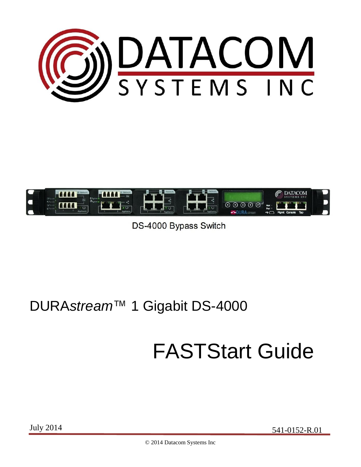



DS-4000 Bypass Switch

## DURA*stream*™ 1 Gigabit DS-4000

# FASTStart Guide

July 2014

541-0152-R.01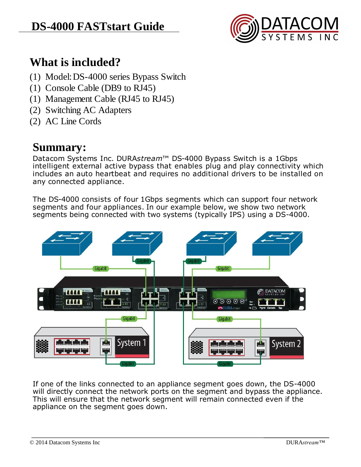

## **What is included?**

- (1) Model:DS-4000 series Bypass Switch
- (1) Console Cable (DB9 to RJ45)
- (1) Management Cable (RJ45 to RJ45)
- (2) Switching AC Adapters
- (2) AC Line Cords

#### **Summary:**

Datacom Systems Inc. DURA*stream*™ DS-4000 Bypass Switch is a 1Gbps intelligent external active bypass that enables plug and play connectivity which includes an auto heartbeat and requires no additional drivers to be installed on any connected appliance.

The DS-4000 consists of four 1Gbps segments which can support four network segments and four appliances. In our example below, we show two network segments being connected with two systems (typically IPS) using a DS-4000.



If one of the links connected to an appliance segment goes down, the DS-4000 will directly connect the network ports on the segment and bypass the appliance. This will ensure that the network segment will remain connected even if the appliance on the segment goes down.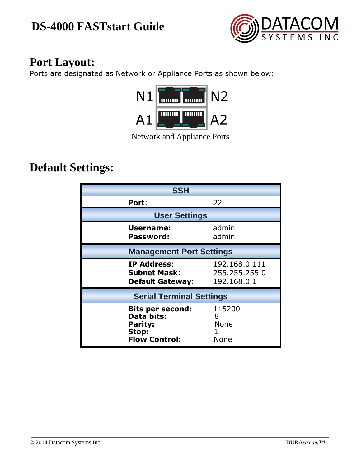

## **Port Layout:**

Ports are designated as Network or Appliance Ports as shown below:



Network and Appliance Ports

## **Default Settings:**

| <b>SSH</b>                                                                               |                                               |  |  |
|------------------------------------------------------------------------------------------|-----------------------------------------------|--|--|
| Port:                                                                                    | 22                                            |  |  |
| <b>User Settings</b>                                                                     |                                               |  |  |
| Username:<br>Password:                                                                   | admin<br>admin                                |  |  |
| <b>Management Port Settings</b>                                                          |                                               |  |  |
| <b>IP Address:</b><br><b>Subnet Mask:</b><br><b>Default Gateway:</b>                     | 192.168.0.111<br>255.255.255.0<br>192.168.0.1 |  |  |
| <b>Serial Terminal Settings</b>                                                          |                                               |  |  |
| <b>Bits per second:</b><br>Data bits:<br><b>Parity:</b><br>Stop:<br><b>Flow Control:</b> | 115200<br>8<br>None<br>None                   |  |  |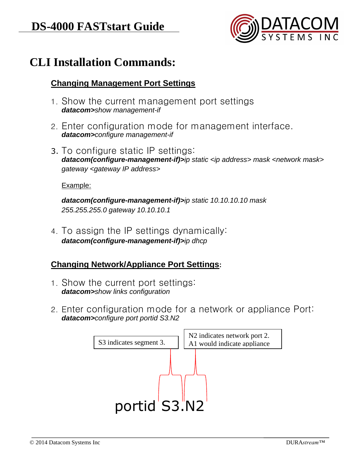

#### **CLI Installation Commands:**

#### **Changing Management Port Settings**

- 1. Show the current management port settings *datacom>show management-if*
- 2. Enter configuration mode for management interface. *datacom>configure management-if*
- 3. To configure static IP settings: *datacom(configure-management-if)>ip static <ip address> mask <network mask> gateway <gateway IP address>*

Example:

*datacom(configure-management-if)>ip static 10.10.10.10 mask 255.255.255.0 gateway 10.10.10.1*

4. To assign the IP settings dynamically: *datacom(configure-management-if)>ip dhcp*

#### **Changing Network/Appliance Port Settings:**

- 1. Show the current port settings: *datacom>show links configuration*
- 2. Enter configuration mode for a network or appliance Port: *datacom>configure port portid S3.N2*

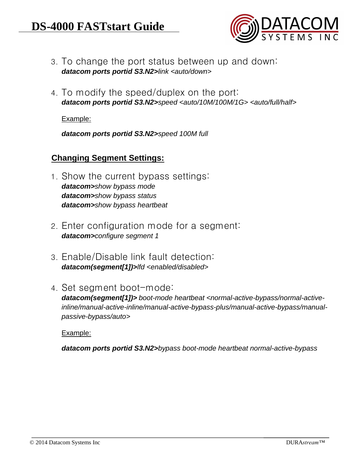

- 3. To change the port status between up and down: *datacom ports portid S3.N2>link <auto/down>*
- 4. To modify the speed/duplex on the port: *datacom ports portid S3.N2>speed <auto/10M/100M/1G> <auto/full/half>*

Example:

*datacom ports portid S3.N2>speed 100M full*

#### **Changing Segment Settings:**

- 1. Show the current bypass settings: *datacom>show bypass mode datacom>show bypass status datacom>show bypass heartbeat*
- 2. Enter configuration mode for a segment: *datacom>configure segment 1*
- 3. Enable/Disable link fault detection: *datacom(segment[1])>lfd <enabled/disabled>*
- 4. Set segment boot-mode:

*datacom(segment[1])> boot-mode heartbeat <normal-active-bypass/normal-activeinline/manual-active-inline/manual-active-bypass-plus/manual-active-bypass/manualpassive-bypass/auto>*

Example:

*datacom ports portid S3.N2>bypass boot-mode heartbeat normal-active-bypass*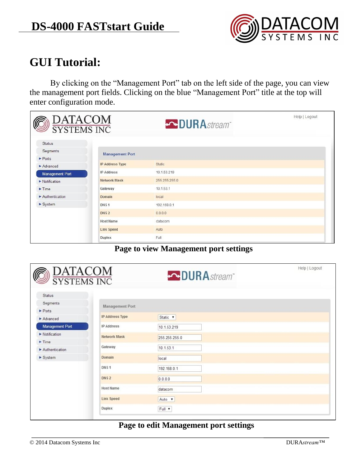

## **GUI Tutorial:**

 By clicking on the "Management Port" tab on the left side of the page, you can view the management port fields. Clicking on the blue "Management Port" title at the top will enter configuration mode.

| DATACOM                            |                        | <b>DURA</b> stream | Help   Logout |
|------------------------------------|------------------------|--------------------|---------------|
| <b>Status</b>                      |                        |                    |               |
| Segments                           | <b>Management Port</b> |                    |               |
| $\blacktriangleright$ Ports        |                        |                    |               |
| $\blacktriangleright$ Advanced     | IP Address Type        | Static             |               |
| <b>Management Port</b>             | <b>IP Address</b>      | 10.1.53.219        |               |
| $\blacktriangleright$ Notification | Network Mask           | 255.255.255.0      |               |
| $\blacktriangleright$ Time         | Gateway                | 10.1.53.1          |               |
| Authentication                     | Domain                 | local              |               |
| $S$ ystem                          | DNS <sub>1</sub>       | 192.168.0.1        |               |
|                                    | DNS <sub>2</sub>       | 0.0.0.0            |               |
|                                    | <b>Host Name</b>       | datacom            |               |
|                                    | <b>Link Speed</b>      | Auto               |               |
|                                    | Duplex                 | Full               |               |

**Page to view Management port settings**

| <b>DATACOM</b><br>SYSTEMS INC      |                   | <b>DURA</b> stream | Help   Logout |
|------------------------------------|-------------------|--------------------|---------------|
| <b>Status</b>                      |                   |                    |               |
| Segments                           | Management Port   |                    |               |
| $\blacktriangleright$ Ports        |                   |                    |               |
| $\blacktriangleright$ Advanced     | IP Address Type   | Static <b>v</b>    |               |
| Management Port                    | <b>IP Address</b> | 10.1.53.219        |               |
| $\blacktriangleright$ Notification | Network Mask      | 255 255 255.0      |               |
| $\blacktriangleright$ Time         |                   |                    |               |
| Authentication                     | Gateway           | 10.1.53.1          |               |
| System                             | Domain            | local              |               |
|                                    | DNS <sub>1</sub>  | 192.168.0.1        |               |
|                                    | DNS <sub>2</sub>  | 0.0.0.0            |               |
|                                    | <b>Host Name</b>  | datacom            |               |
|                                    | <b>Link Speed</b> | Auto v             |               |
|                                    | <b>Duplex</b>     | Full v             |               |

#### **Page to edit Management port settings**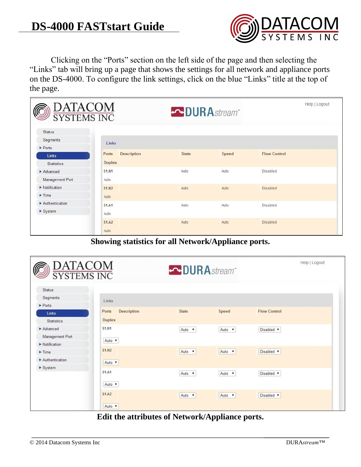

Clicking on the "Ports" section on the left side of the page and then selecting the "Links" tab will bring up a page that shows the settings for all network and appliance ports on the DS-4000. To configure the link settings, click on the blue "Links" title at the top of the page.

| DATACOM<br>SYSTEMS INC             |               |                    | <b>DURA</b> stream |       |                     | Help   Logout |
|------------------------------------|---------------|--------------------|--------------------|-------|---------------------|---------------|
| Status                             |               |                    |                    |       |                     |               |
| Segments                           | Links         |                    |                    |       |                     |               |
| $\blacktriangleright$ Ports        |               |                    |                    |       |                     |               |
| Links                              | Ports         | <b>Description</b> | State              | Speed | <b>Flow Control</b> |               |
| <b>Statistics</b>                  | <b>Duplex</b> |                    |                    |       |                     |               |
| $\blacktriangleright$ Advanced     | S1.N1         |                    | Auto               | Auto  | Disabled            |               |
| Management Port                    | Auto          |                    |                    |       |                     |               |
| $\blacktriangleright$ Notification | S1.N2         |                    | Auto               | Auto  | Disabled            |               |
| $\blacktriangleright$ Time         | Auto          |                    |                    |       |                     |               |
| Authentication                     | S1.A1         |                    | Auto               | Auto. | Disabled            |               |
| $S$ ystem                          | Auto          |                    |                    |       |                     |               |
|                                    | <b>S1.A2</b>  |                    | Auto               | Auto  | <b>Disabled</b>     |               |
|                                    | Auto          |                    |                    |       |                     |               |

**Showing statistics for all Network/Appliance ports.**

| DATACOM<br>SYSTEMS INC             |                             | DURA stream   |               | Help   Logout       |
|------------------------------------|-----------------------------|---------------|---------------|---------------------|
| <b>Status</b>                      |                             |               |               |                     |
| <b>Segments</b>                    | Links                       |               |               |                     |
| $\blacktriangleright$ Ports        |                             |               |               |                     |
| Links                              | <b>Description</b><br>Ports | State         | Speed         | <b>Flow Control</b> |
| <b>Statistics</b>                  | <b>Duplex</b>               |               |               |                     |
| $\blacktriangleright$ Advanced     | <b>S1.N1</b>                | Auto v        | Auto <b>v</b> | Disabled v          |
| Management Port                    |                             |               |               |                     |
| $\blacktriangleright$ Notification | Auto v                      |               |               |                     |
| $\blacktriangleright$ Time         | <b>S1.N2</b>                | Auto v        | Auto <b>v</b> | Disabled <b>v</b>   |
| Authentication                     | Auto <b>v</b>               |               |               |                     |
| System                             |                             |               |               |                     |
|                                    | <b>S1.A1</b>                | Auto v        | Auto <b>v</b> | Disabled <b>v</b>   |
|                                    | Auto v                      |               |               |                     |
|                                    | <b>S1.A2</b>                | Auto <b>v</b> | Auto <b>v</b> | Disabled <b>v</b>   |
|                                    | Auto <b>v</b>               |               |               |                     |

**Edit the attributes of Network/Appliance ports.**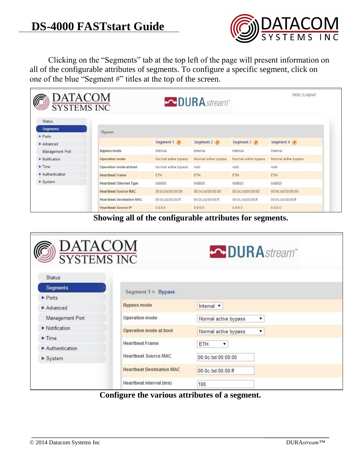

 Clicking on the "Segments" tab at the top left of the page will present information on all of the configurable attributes of segments. To configure a specific segment, click on one of the blue "Segment #" titles at the top of the screen.

| <b>DATACOM</b><br><b>SYSTEMS INC</b> |                                  |                      | <b>DURA</b> stream   |                      | Help   Logout        |
|--------------------------------------|----------------------------------|----------------------|----------------------|----------------------|----------------------|
| <b>Status</b>                        |                                  |                      |                      |                      |                      |
| <b>Segments</b>                      | <b>Bypass</b>                    |                      |                      |                      |                      |
| $\blacktriangleright$ Ports          |                                  |                      |                      |                      |                      |
| $\blacktriangleright$ Advanced       |                                  | Segment 1            | Segment $2$ $\odot$  | Segment $3\odot$     | Segment $4\odot$     |
| Management Port                      | Bypass mode                      | Internal             | Internal             | Internal             | Internal             |
| $\blacktriangleright$ Notification   | Operation mode                   | Normal active bypass | Normal active bypass | Normal active bypass | Normal active bypass |
| $\blacktriangleright$ Time           | Operation mode at boot           | Normal active bypass | Auto                 | Auto                 | Auto                 |
| Authentication                       | <b>Heartbeat Frame</b>           | ETH                  | <b>ETH</b>           | ETH                  | ETH.                 |
| $S$ ystem                            | <b>Heartbeat Ethernet Type</b>   | 0x88b5               | 0x88b5               | 0x88b5               | 0x88b5               |
|                                      | <b>Heartbeat Source MAC</b>      | 00:0c:bd:00:00:00    | 00:0c:bd:00:00:00    | 00:0c:bd:00:00:00    | 00:0c:bd:00:00:00    |
|                                      | <b>Heartbeat Destination MAC</b> | 00:0c:bd:00:00:ff    | 00:0c:bd:00:00:ff    | 00:0c:bd:00:00:ff    | 00:0c:bd:00:00:ff    |
|                                      | <b>Heartbeat Source IP</b>       | 0.0.0.0              | 0.0.0.0              | 0.0.0.0              | 0.0.0.0              |

**Showing all of the configurable attributes for segments.**

| DATACOM<br>SYSTEMS INC             |                                  | <b>DURA</b> stream        |
|------------------------------------|----------------------------------|---------------------------|
| <b>Status</b>                      |                                  |                           |
| Segments                           | Segment 1 > Bypass               |                           |
| $\blacktriangleright$ Ports        |                                  |                           |
| Advanced                           | <b>Bypass mode</b>               | Internal v                |
| Management Port                    | Operation mode                   | Normal active bypass<br>▼ |
| $\blacktriangleright$ Notification | Operation mode at boot           | Normal active bypass<br>7 |
| $\blacktriangleright$ Time         | <b>Heartbeat Frame</b>           |                           |
| Authentication                     |                                  | ETH<br>7                  |
| System                             | <b>Heartbeat Source MAC</b>      | 00:0c:bd:00:00:00         |
|                                    | <b>Heartbeat Destination MAC</b> | 00:0c:bd:00:00:ff         |
|                                    | Heartbeat interval (ms)          | 100                       |

**Configure the various attributes of a segment.**